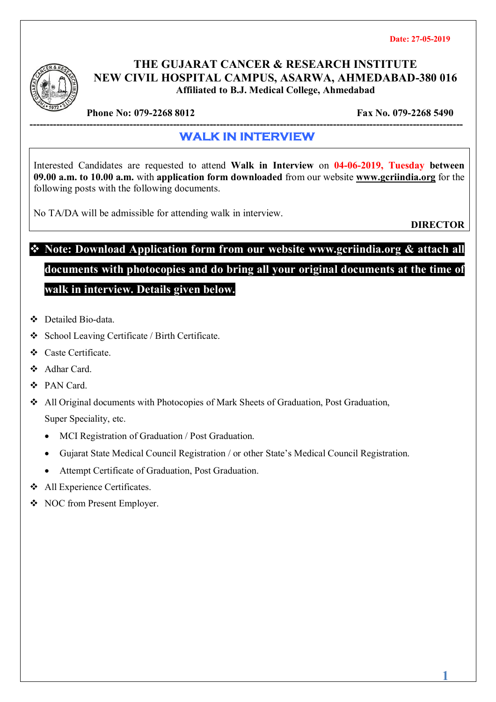

### **THE GUJARAT CANCER & RESEARCH INSTITUTE NEW CIVIL HOSPITAL CAMPUS, ASARWA, AHMEDABAD-380 016 Affiliated to B.J. Medical College, Ahmedabad**

**Phone No: 079-2268 8012** Fax No. 079-2268 5490

#### **---------------------------------------------------------------------------------------------------------------------------------- WALK IN INTERVIEW**

Interested Candidates are requested to attend **Walk in Interview** on **04-06-2019, Tuesday between 09.00 a.m. to 10.00 a.m.** with **application form downloaded** from our website **www.gcriindia.org** for the following posts with the following documents.

No TA/DA will be admissible for attending walk in interview.

**DIRECTOR**

# **Note: Download Application form from our website www.gcriindia.org & attach all documents with photocopies and do bring all your original documents at the time of**

**walk in interview. Details given below.**

- ◆ Detailed Bio-data
- School Leaving Certificate / Birth Certificate.
- Caste Certificate.
- Adhar Card.
- PAN Card.
- All Original documents with Photocopies of Mark Sheets of Graduation, Post Graduation, Super Speciality, etc.
	- MCI Registration of Graduation / Post Graduation.
	- Gujarat State Medical Council Registration / or other State's Medical Council Registration.
	- Attempt Certificate of Graduation, Post Graduation.
- All Experience Certificates.
- NOC from Present Employer.